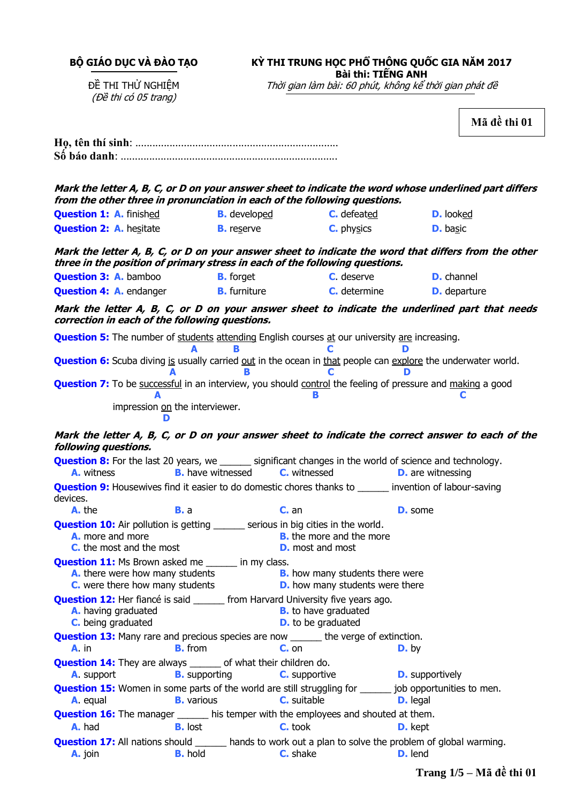**BỘ GIÁO DỤC VÀ ĐÀO TẠO**

# **KỲ THI TRUNG HỌC PHỔ THÔNG QUỐC GIA NĂM 2017**

**Bài thi: TIẾNG ANH**

ĐỀ THI THỬ NGHIỆM (Đề thi có 05 trang)

Thời gian làm bài: 60 phút, không kể thời gian phát đề

**Mã đề thi 01**

|                                                                                                                                                                                                                                   |                                              | from the other three in pronunciation in each of the following questions.                                                                          | Mark the letter A, B, C, or D on your answer sheet to indicate the word whose underlined part differs                |  |
|-----------------------------------------------------------------------------------------------------------------------------------------------------------------------------------------------------------------------------------|----------------------------------------------|----------------------------------------------------------------------------------------------------------------------------------------------------|----------------------------------------------------------------------------------------------------------------------|--|
| <b>Question 1: A. finished</b>                                                                                                                                                                                                    | <b>B.</b> developed                          | <b>C.</b> defeated                                                                                                                                 | <b>D.</b> looked                                                                                                     |  |
| <b>Question 2: A.</b> hesitate                                                                                                                                                                                                    | <b>B.</b> reserve                            | <b>C.</b> physics                                                                                                                                  | <b>D.</b> basic                                                                                                      |  |
| Mark the letter A, B, C, or D on your answer sheet to indicate the word that differs from the other<br>three in the position of primary stress in each of the following questions.                                                |                                              |                                                                                                                                                    |                                                                                                                      |  |
| <b>Question 3: A. bamboo</b>                                                                                                                                                                                                      | <b>B.</b> forget                             | <b>C.</b> deserve                                                                                                                                  | <b>D.</b> channel                                                                                                    |  |
| <b>Question 4: A.</b> endanger <b>B.</b> furniture                                                                                                                                                                                |                                              | <b>C.</b> determine                                                                                                                                | <b>D.</b> departure                                                                                                  |  |
| correction in each of the following questions.                                                                                                                                                                                    |                                              |                                                                                                                                                    | Mark the letter A, B, C, or D on your answer sheet to indicate the underlined part that needs                        |  |
|                                                                                                                                                                                                                                   | В                                            | <b>Question 5:</b> The number of students attending English courses at our university are increasing.                                              |                                                                                                                      |  |
|                                                                                                                                                                                                                                   |                                              | C                                                                                                                                                  | <b>Question 6:</b> Scuba diving is usually carried out in the ocean in that people can explore the underwater world. |  |
|                                                                                                                                                                                                                                   |                                              |                                                                                                                                                    | <b>Question 7:</b> To be successful in an interview, you should control the feeling of pressure and making a good    |  |
|                                                                                                                                                                                                                                   | impression on the interviewer.               |                                                                                                                                                    |                                                                                                                      |  |
| following questions.                                                                                                                                                                                                              |                                              |                                                                                                                                                    | Mark the letter A, B, C, or D on your answer sheet to indicate the correct answer to each of the                     |  |
| <b>A.</b> witness                                                                                                                                                                                                                 | <b>B.</b> have witnessed <b>C.</b> witnessed | <b>Question 8:</b> For the last 20 years, we ______ significant changes in the world of science and technology.                                    | <b>D.</b> are witnessing                                                                                             |  |
| devices.                                                                                                                                                                                                                          |                                              | <b>Question 9:</b> Housewives find it easier to do domestic chores thanks to _______ invention of labour-saving                                    |                                                                                                                      |  |
| A. the                                                                                                                                                                                                                            | <b>B.</b> a                                  | $Cn$ an                                                                                                                                            | <b>D.</b> some                                                                                                       |  |
| <b>Question 10:</b> Air pollution is getting ______ serious in big cities in the world.<br>A. more and more<br><b>B.</b> the more and the more<br><b>C.</b> the most and the most<br><b>D.</b> most and most                      |                                              |                                                                                                                                                    |                                                                                                                      |  |
| <b>Question 11:</b> Ms Brown asked me ______ in my class.<br><b>A.</b> there were how many students<br><b>B.</b> how many students there were<br><b>C.</b> were there how many students<br><b>D.</b> how many students were there |                                              |                                                                                                                                                    |                                                                                                                      |  |
| A. having graduated<br>C. being graduated                                                                                                                                                                                         |                                              | <b>Question 12:</b> Her fiancé is said _______ from Harvard University five years ago.<br><b>B.</b> to have graduated<br><b>D.</b> to be graduated |                                                                                                                      |  |
| $A.$ in                                                                                                                                                                                                                           | <b>B.</b> from                               | <b>Question 13:</b> Many rare and precious species are now _______ the verge of extinction.<br>$C_{n}$ on                                          | $D.$ by                                                                                                              |  |
| <b>Question 14:</b> They are always _______ of what their children do.<br>A. support                                                                                                                                              | <b>B.</b> supporting                         | <b>C.</b> supportive                                                                                                                               | <b>D.</b> supportively                                                                                               |  |
| <b>A.</b> equal                                                                                                                                                                                                                   | <b>B.</b> various                            | <b>Question 15:</b> Women in some parts of the world are still struggling for ______ job opportunities to men.<br><b>C.</b> suitable               | <b>D.</b> legal                                                                                                      |  |
| A. had                                                                                                                                                                                                                            | <b>B.</b> lost                               | <b>Question 16:</b> The manager _______ his temper with the employees and shouted at them.<br><b>C.</b> took                                       | <b>D.</b> kept                                                                                                       |  |
| A. join                                                                                                                                                                                                                           | <b>B.</b> hold                               | <b>Question 17:</b> All nations should ______ hands to work out a plan to solve the problem of global warming.<br>C. shake                         | <b>D.</b> lend                                                                                                       |  |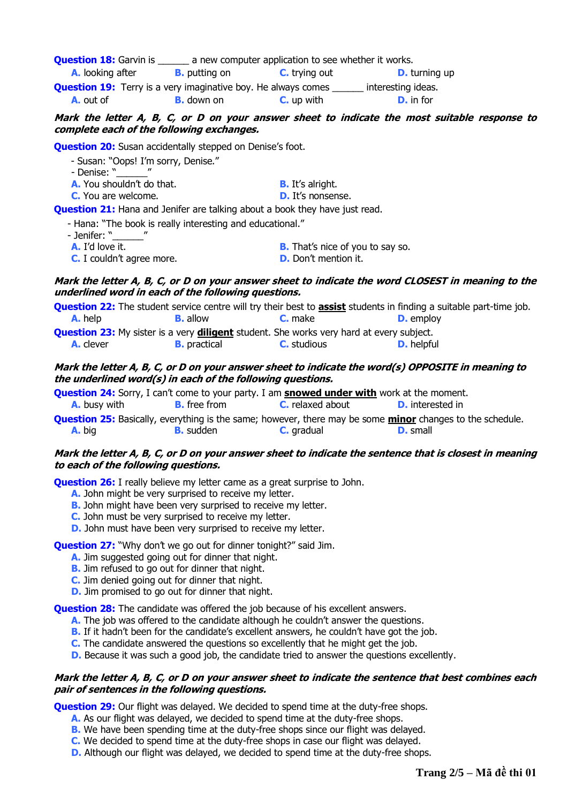| <b>Question 18: Garvin is</b> |                                                                      | a new computer application to see whether it works. |                      |
|-------------------------------|----------------------------------------------------------------------|-----------------------------------------------------|----------------------|
| <b>A.</b> looking after       | <b>B.</b> putting on                                                 | <b>C.</b> trying out                                | <b>D.</b> turning up |
|                               | <b>Question 19:</b> Terry is a very imaginative boy. He always comes |                                                     | interesting ideas.   |
| <b>A.</b> out of              | <b>B.</b> down on                                                    | $C.$ up with                                        | <b>D.</b> in for     |

## **Mark the letter A, B, C, or D on your answer sheet to indicate the most suitable response to complete each of the following exchanges.**

**Question 20:** Susan accidentally stepped on Denise's foot.

| - Susan: "Oops! I'm sorry, Denise." |  |
|-------------------------------------|--|
| - Denise: "                         |  |

**A.** You shouldn't do that. **B.** It's alright. **C.** You are welcome. **D.** It's nonsense.

**Question 21:** Hana and Jenifer are talking about a book they have just read.

- Hana: "The book is really interesting and educational."
- Jenifer: "
- 
- **C.** I couldn't agree more. **D.** Don't mention it.

**A.** I'd love it. **B.** That's nice of you to say so.

## **Mark the letter A, B, C, or D on your answer sheet to indicate the word CLOSEST in meaning to the underlined word in each of the following questions.**

|                                                                                                        |                     |                    | <b>Question 22:</b> The student service centre will try their best to <b>assist</b> students in finding a suitable part-time job. |  |
|--------------------------------------------------------------------------------------------------------|---------------------|--------------------|-----------------------------------------------------------------------------------------------------------------------------------|--|
| <b>A.</b> help                                                                                         | <b>B.</b> allow     | <b>C.</b> make     | <b>D.</b> employ                                                                                                                  |  |
| <b>Question 23:</b> My sister is a very <b>diligent</b> student. She works very hard at every subject. |                     |                    |                                                                                                                                   |  |
| <b>A.</b> clever                                                                                       | <b>B.</b> practical | <b>C.</b> studious | <b>D.</b> helpful                                                                                                                 |  |

# **Mark the letter A, B, C, or D on your answer sheet to indicate the word(s) OPPOSITE in meaning to the underlined word(s) in each of the following questions.**

|                     |                     | <b>Question 24:</b> Sorry, I can't come to your party. I am <b>snowed under with</b> work at the moment.            |                         |  |
|---------------------|---------------------|---------------------------------------------------------------------------------------------------------------------|-------------------------|--|
| <b>A.</b> busy with | <b>B.</b> free from | <b>C.</b> relaxed about                                                                                             | <b>D.</b> interested in |  |
|                     |                     | <b>Ougetion 25:</b> Basically eventition is the same: however, there may be some <b>minor</b> changes to the schedu |                         |  |

**on 25:** Basically, everything is the same; however, there may be some minor changes to the schedule. **A.** big **B.** sudden **C.** gradual **D.** small

### **Mark the letter A, B, C, or D on your answer sheet to indicate the sentence that is closest in meaning to each of the following questions.**

**Question 26:** I really believe my letter came as a great surprise to John.

- **A.** John might be very surprised to receive my letter.
- **B.** John might have been very surprised to receive my letter.
- **C.** John must be very surprised to receive my letter.
- **D.** John must have been very surprised to receive my letter.

**Question 27:** "Why don't we go out for dinner tonight?" said Jim.

- **A.** Jim suggested going out for dinner that night.
- **B.** Jim refused to go out for dinner that night.
- **C.** Jim denied going out for dinner that night.
- **D.** Jim promised to go out for dinner that night.

**Question 28:** The candidate was offered the job because of his excellent answers.

- **A.** The job was offered to the candidate although he couldn't answer the questions.
- **B.** If it hadn't been for the candidate's excellent answers, he couldn't have got the job.
- **C.** The candidate answered the questions so excellently that he might get the job.
- **D.** Because it was such a good job, the candidate tried to answer the questions excellently.

### **Mark the letter A, B, C, or D on your answer sheet to indicate the sentence that best combines each pair of sentences in the following questions.**

**Question 29:** Our flight was delayed. We decided to spend time at the duty-free shops.

- **A.** As our flight was delayed, we decided to spend time at the duty-free shops.
- **B.** We have been spending time at the duty-free shops since our flight was delayed.
- **C.** We decided to spend time at the duty-free shops in case our flight was delayed.
- **D.** Although our flight was delayed, we decided to spend time at the duty-free shops.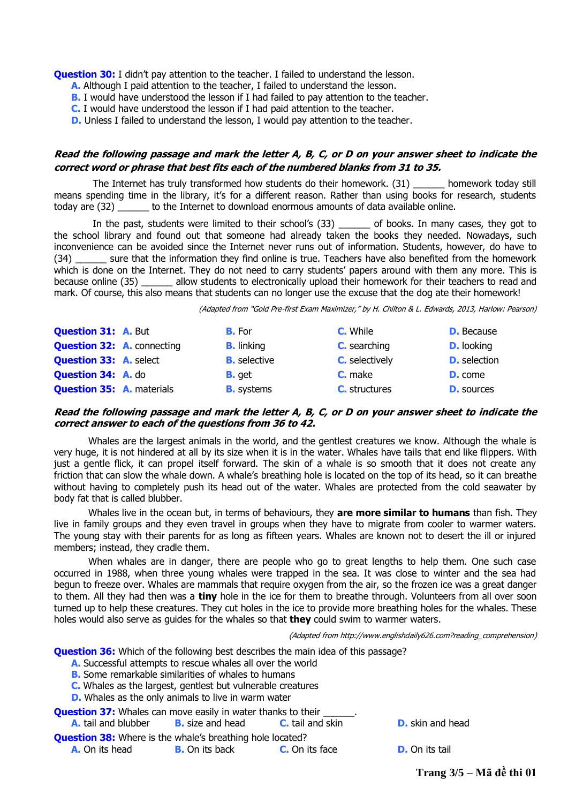**Question 30:** I didn't pay attention to the teacher. I failed to understand the lesson.

- **A.** Although I paid attention to the teacher, I failed to understand the lesson.
- **B.** I would have understood the lesson if I had failed to pay attention to the teacher.
- **C.** I would have understood the lesson if I had paid attention to the teacher.
- **D.** Unless I failed to understand the lesson, I would pay attention to the teacher.

### **Read the following passage and mark the letter A, B, C, or D on your answer sheet to indicate the correct word or phrase that best fits each of the numbered blanks from 31 to 35.**

The Internet has truly transformed how students do their homework. (31) homework today still means spending time in the library, it's for a different reason. Rather than using books for research, students today are (32) to the Internet to download enormous amounts of data available online.

In the past, students were limited to their school's (33) \_\_\_\_\_\_ of books. In many cases, they got to the school library and found out that someone had already taken the books they needed. Nowadays, such inconvenience can be avoided since the Internet never runs out of information. Students, however, do have to (34) \_\_\_\_\_\_ sure that the information they find online is true. Teachers have also benefited from the homework which is done on the Internet. They do not need to carry students' papers around with them any more. This is because online (35) \_\_\_\_\_\_ allow students to electronically upload their homework for their teachers to read and mark. Of course, this also means that students can no longer use the excuse that the dog ate their homework!

(Adapted from "Gold Pre-first Exam Maximizer," by H. Chilton & L. Edwards, 2013, Harlow: Pearson)

| <b>Question 31: A. But</b>        | <b>B.</b> For       | <b>C.</b> While       | <b>D.</b> Because   |
|-----------------------------------|---------------------|-----------------------|---------------------|
| <b>Question 32: A. connecting</b> | <b>B.</b> linking   | <b>C.</b> searching   | <b>D.</b> looking   |
| <b>Question 33: A. select</b>     | <b>B.</b> selective | <b>C.</b> selectively | <b>D.</b> selection |
| <b>Question 34: A. do</b>         | <b>B.</b> get       | <b>C.</b> make        | <b>D.</b> come      |
| <b>Question 35: A. materials</b>  | <b>B.</b> systems   | <b>C.</b> structures  | <b>D.</b> sources   |

#### **Read the following passage and mark the letter A, B, C, or D on your answer sheet to indicate the correct answer to each of the questions from 36 to 42.**

Whales are the largest animals in the world, and the gentlest creatures we know. Although the whale is very huge, it is not hindered at all by its size when it is in the water. Whales have tails that end like flippers. With just a gentle flick, it can propel itself forward. The skin of a whale is so smooth that it does not create any friction that can slow the whale down. A whale's breathing hole is located on the top of its head, so it can breathe without having to completely push its head out of the water. Whales are protected from the cold seawater by body fat that is called blubber.

Whales live in the ocean but, in terms of behaviours, they **are more similar to humans** than fish. They live in family groups and they even travel in groups when they have to migrate from cooler to warmer waters. The young stay with their parents for as long as fifteen years. Whales are known not to desert the ill or injured members; instead, they cradle them.

When whales are in danger, there are people who go to great lengths to help them. One such case occurred in 1988, when three young whales were trapped in the sea. It was close to winter and the sea had begun to freeze over. Whales are mammals that require oxygen from the air, so the frozen ice was a great danger to them. All they had then was a **tiny** hole in the ice for them to breathe through. Volunteers from all over soon turned up to help these creatures. They cut holes in the ice to provide more breathing holes for the whales. These holes would also serve as guides for the whales so that **they** could swim to warmer waters.

(Adapted from http://www.englishdaily626.com?reading\_comprehension)

**Question 36:** Which of the following best describes the main idea of this passage?

- **A.** Successful attempts to rescue whales all over the world
- **B.** Some remarkable similarities of whales to humans
- **C.** Whales as the largest, gentlest but vulnerable creatures
- **D.** Whales as the only animals to live in warm water

**Question 37:** Whales can move easily in water thanks to their **A.** tail and blubber **B.** size and head **C.** tail and skin **D.** skin and head **Question 38:** Where is the whale's breathing hole located? **A.** On its head **B.** On its back **C.** On its face **D.** On its tail

**Trang 3/5 – Mã đề thi 01**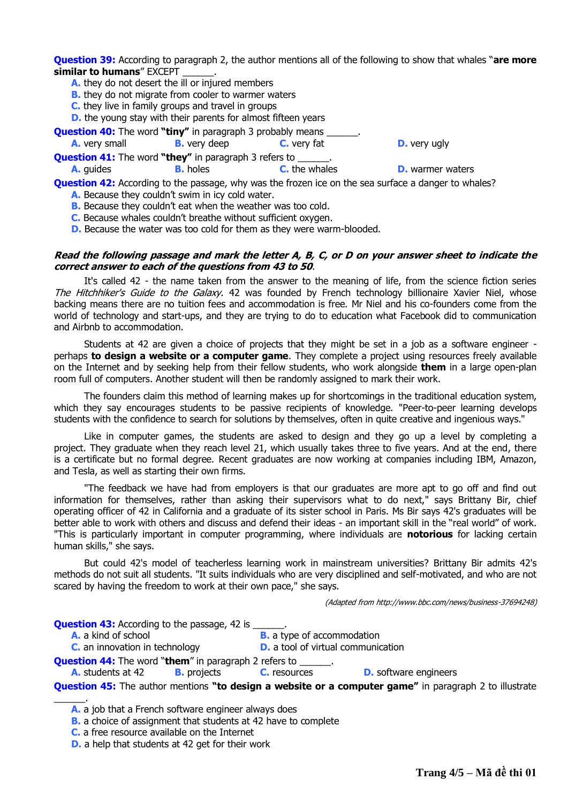**Question 39:** According to paragraph 2, the author mentions all of the following to show that whales "**are more similar to humans**" EXCEPT \_\_\_\_\_\_.

- **A.** they do not desert the ill or injured members
- **B.** they do not migrate from cooler to warmer waters
- **C.** they live in family groups and travel in groups

**D.** the young stay with their parents for almost fifteen years

- **Question 40:** The word "tiny" in paragraph 3 probably means **A.** very small **B.** very deep **C.** very fat **D.** very ugly **Question 41:** The word "they" in paragraph 3 refers to
	- **A.** guides **B.** holes **C.** the whales **D.** warmer waters

**Question 42:** According to the passage, why was the frozen ice on the sea surface a danger to whales? **A.** Because they couldn't swim in icy cold water.

- **B.** Because they couldn't eat when the weather was too cold.
- **C.** Because whales couldn't breathe without sufficient oxygen.
- **D.** Because the water was too cold for them as they were warm-blooded.

#### **Read the following passage and mark the letter A, B, C, or D on your answer sheet to indicate the correct answer to each of the questions from 43 to 50**.

It's called 42 - the name taken from the answer to the meaning of life, from the science fiction series The Hitchhiker's Guide to the Galaxy. 42 was founded by French technology billionaire Xavier Niel, whose backing means there are no tuition fees and accommodation is free. Mr Niel and his co-founders come from the world of technology and start-ups, and they are trying to do to education what Facebook did to communication and Airbnb to accommodation.

Students at 42 are given a choice of projects that they might be set in a job as a software engineer perhaps **to design a website or a computer game**. They complete a project using resources freely available on the Internet and by seeking help from their fellow students, who work alongside **them** in a large open-plan room full of computers. Another student will then be randomly assigned to mark their work.

The founders claim this method of learning makes up for shortcomings in the traditional education system, which they say encourages students to be passive recipients of knowledge. "Peer-to-peer learning develops students with the confidence to search for solutions by themselves, often in quite creative and ingenious ways."

Like in computer games, the students are asked to design and they go up a level by completing a project. They graduate when they reach level 21, which usually takes three to five years. And at the end, there is a certificate but no formal degree. Recent graduates are now working at companies including IBM, Amazon, and Tesla, as well as starting their own firms.

"The feedback we have had from employers is that our graduates are more apt to go off and find out information for themselves, rather than asking their supervisors what to do next," says Brittany Bir, chief operating officer of 42 in California and a graduate of its sister school in Paris. Ms Bir says 42's graduates will be better able to work with others and discuss and defend their ideas - an important skill in the "real world" of work. "This is particularly important in computer programming, where individuals are **notorious** for lacking certain human skills," she says.

But could 42's model of teacherless learning work in mainstream universities? Brittany Bir admits 42's methods do not suit all students. "It suits individuals who are very disciplined and self-motivated, and who are not scared by having the freedom to work at their own pace," she says.

(Adapted from http://www.bbc.com/news/business-37694248)

| <b>Question 43:</b> According to the passage, 42 is _______.                                                  |                    |                     |                                           |  |
|---------------------------------------------------------------------------------------------------------------|--------------------|---------------------|-------------------------------------------|--|
| A. a kind of school                                                                                           |                    |                     | <b>B.</b> a type of accommodation         |  |
| <b>C.</b> an innovation in technology                                                                         |                    |                     | <b>D.</b> a tool of virtual communication |  |
| <b>Question 44:</b> The word "them" in paragraph 2 refers to ______.                                          |                    |                     |                                           |  |
| <b>A.</b> students at 42                                                                                      | <b>B.</b> projects | <b>C.</b> resources | <b>D.</b> software engineers              |  |
| <b>Question 45:</b> The author mentions "to design a website or a computer game" in paragraph 2 to illustrate |                    |                     |                                           |  |

\_\_\_\_\_\_.

**A.** a job that a French software engineer always does

**B.** a choice of assignment that students at 42 have to complete

**C.** a free resource available on the Internet

**D.** a help that students at 42 get for their work